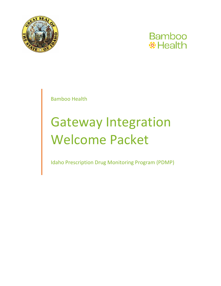



Bamboo Health

# Gateway Integration Welcome Packet

Idaho Prescription Drug Monitoring Program (PDMP)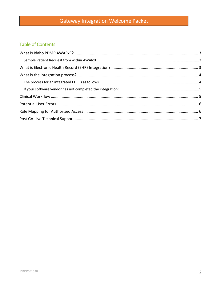## **Gateway Integration Welcome Packet**

## **Table of Contents**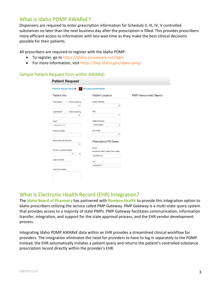## <span id="page-2-0"></span>What is Idaho PDMP AWARxE?

Dispensers are required to enter prescription information for Schedule II, III, IV, V controlled substances no later than the next business day after the prescription is filled. This provides prescribers more efficient access to information with less wait time as they make the best clinical decisions possible for their patients.

All prescribers are required to register with the Idaho PDMP.

- To register, go to <https://idaho.pmpaware.net/login>
- For more information, visit <https://bop.idaho.gov/idaho-pmp/>

#### <span id="page-2-1"></span>Sample Patient Request from within AWARxE:

| Patient Info                    | <b>Patient Location</b>                                                              | <b>PMP</b> Interconnect Search |
|---------------------------------|--------------------------------------------------------------------------------------|--------------------------------|
| First Name*<br>Partial spelling | <b>Street Address</b>                                                                |                                |
|                                 | 尹                                                                                    |                                |
| Last Name*<br>Partial spelling  | City                                                                                 |                                |
|                                 | ≠                                                                                    |                                |
| DOB*                            | State/Province                                                                       |                                |
| MM/DD/YYYY                      | <b>State Select</b><br>$\frac{\textstyle \bullet}{\textstyle \textstyle \mathsf{v}}$ |                                |
| Phone Number                    | Zip Code                                                                             |                                |
|                                 | ۶                                                                                    |                                |
| Social Security Number<br>7     | <b>Prescription Fill Dates</b>                                                       |                                |
| Drivers License Number          | From*<br>No earlier than 5 years from today                                          |                                |
| $\hat{\mathbf{v}}$<br>≁         | 09/26/2016                                                                           |                                |
| <b>Case Number</b>              | To*                                                                                  |                                |
|                                 | 09/26/2017                                                                           |                                |
| <b>Case Comments</b>            |                                                                                      |                                |

## <span id="page-2-2"></span>What is Electronic Health Record (EHR) Integration?

The **[Idaho Board of Pharmacy](https://bop.idaho.gov/)** has partnered with **[Bamboo](http://www.apprisshealth.com/) Health** to provide this integration option to Idaho prescribers utilizing the service called PMP Gateway. PMP Gateway is a multi-state query system that provides access to a majority of state PMPs. PMP Gateway facilitates communication, information transfer, integration, and support for the state approval process, and the EHR vendor development process.

Integrating Idaho PDMP AWARxE data within an EHR provides a streamlined clinical workflow for providers. The integration eliminates the need for providers to have to log in separately to the PDMP. Instead, the EHR automatically initiates a patient query and returns the patient's controlled substance prescription record directly within the provider's EHR.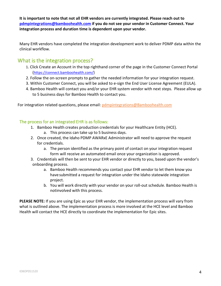**It is important to note that not all EHR vendors are currently integrated. Please reach out to [pdmpintegrations@bamboohealth.com](mailto:pdmpintegrations@bamboohealth.com) if you do not see your vendor in Customer Connect. Your integration process and duration time is dependent upon your vendor.**

<span id="page-3-0"></span>Many EHR vendors have completed the integration development work to deliver PDMP data within the clinical workflow.

### What is the integration process?

- 1. Click Create an Account in the top righthand corner of the page in the Customer Connect Portal [\(https://connect.bamboohealth.com/\)](https://nam12.safelinks.protection.outlook.com/?url=https%3A%2F%2Fconnect.bamboohealth.com%2F&data=04%7C01%7Ceogrady%40bamboohealth.com%7C28590f4b4af0444a0a2608d9df4c7b9a%7C55ec28f041464813b44119cd18fa0fe6%7C0%7C0%7C637786341853397005%7CUnknown%7CTWFpbGZsb3d8eyJWIjoiMC4wLjAwMDAiLCJQIjoiV2luMzIiLCJBTiI6Ik1haWwiLCJXVCI6Mn0%3D%7C3000&sdata=FURHdS4SG%2BUZH%2B17eR12tElfxp00bQRTStie%2BeeXbAU%3D&reserved=0)
- 2. Follow the on-screen prompts to gather the needed information for your integration request.
- 3. Within Customer Connect, you will be asked to e-sign the End User License Agreement (EULA).
- 4. Bamboo Health will contact you and/or your EHR system vendor with next steps. Please allow up to 5 business days for Bamboo Health to contact you.

For integration related questions, please email: [pdmpintegrations@Bamboohealth.com](mailto:pdmpintegrations@apprisshealth.com)

#### <span id="page-3-1"></span>The process for an integrated EHR is as follows:

- 1. Bamboo Health creates production credentials for your Healthcare Entity (HCE).
	- a. This process can take up to 5 business days.
- 2. Once created, the Idaho PDMP AWARxE Administrator will need to approve the request for credentials.
	- a. The person identified as the primary point of contact on your integration request form will receive an automated email once your organization is approved.
- 3. Credentials will then be sent to your EHR vendor or directly to you, based upon the vendor's onboarding process.
	- a. Bamboo Health recommends you contact your EHR vendor to let them know you have submitted a request for integration under the Idaho statewide integration project.
	- b. You will work directly with your vendor on your roll-out schedule. Bamboo Health is notinvolved with this process.

**PLEASE NOTE:** If you are using Epic as your EHR vendor, the implementation process will vary from what is outlined above. The implementation process is more involved at the HCE level and Bamboo Health will contact the HCE directly to coordinate the implementation for Epic sites.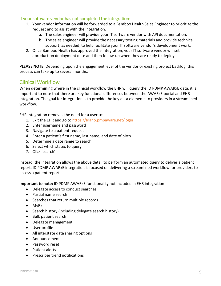#### <span id="page-4-0"></span>If your software vendor has not completed the integration:

- 1. Your vendor information will be forwarded to a Bamboo Health Sales Engineer to prioritize the request and to assist with the integration.
	- a. The sales engineer will provide your IT software vendor with API documentation.
	- b. The sales engineer will provide the necessary testing materials and provide technical support, as needed, to help facilitate your IT software vendor's development work.
- 2. Once Bamboo Health has approved the integration, your IT software vendor will set aproduction deployment date and then follow-up when they are ready to deploy.

**PLEASE NOTE:** Depending upon the engagement level of the vendor or existing project backlog, this process can take up to several months.

## <span id="page-4-1"></span>Clinical Workflow

When determining where in the clinical workflow the EHR will query the ID PDMP AWARxE data, it is important to note that there are key functional differences between the AWARxE portal and EHR integration. The goal for integration is to provide the key data elements to providers in a streamlined workflow.

EHR integration removes the need for a user to:

- 1. Exit the EHR and go to [https://Idaho.pmpaware.net/login](https://idaho.pmpaware.net/login)
- 2. Enter username and password
- 3. Navigate to a patient request
- 4. Enter a patient's first name, last name, and date of birth
- 5. Determine a date range to search
- 6. Select which states to query
- 7. Click 'search'

Instead, the integration allows the above detail to perform an automated query to deliver a patient report. ID PDMP AWARxE integration is focused on delivering a streamlined workflow for providers to access a patient report.

**Important to note:** ID PDMP AWARxE functionality not included in EHR integration:

- Delegate access to conduct searches
- Partial name search
- Searches that return multiple records
- MyRx
- Search history (including delegate search history)
- Bulk patient search
- Delegate management
- User profile
- All interstate data sharing options
- Announcements
- Password reset
- Patient alerts
- Prescriber trend notifications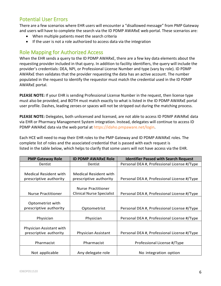## <span id="page-5-0"></span>Potential User Errors

There are a few scenarios where EHR users will encounter a "disallowed message" from PMP Gateway and users will have to complete the search via the ID PDMP AWARxE web portal. These scenarios are:

- When multiple patients meet the search criteria
- If the user is not a role authorized to access data via the integration

## <span id="page-5-1"></span>Role Mapping for Authorized Access

When the EHR sends a query to the ID PDMP AWARxE, there are a few key data elements about the requesting provider included in that query. In addition to facility identifiers, the query will include the provider's credentials: DEA, NPI, or Professional License Number and type (vary by role). ID PDMP AWARxE then validates that the provider requesting the data has an active account. The number populated in the request to identify the requestor must match the credential used in the ID PDMP AWARxE portal.

**PLEASE NOTE:** If your EHR is sending Professional License Number in the request, then license type must also be provided, and BOTH must match exactly to what is listed in the ID PDMP AWARxE portal user profile. Dashes, leading zeroes or spaces will not be stripped out during the matching process.

**PLEASE NOTE:** Delegates, both unlicensed and licensed, are not able to access ID PDMP AWARxE data via EHR or Pharmacy Management System integration. Instead, delegates will continue to access ID PDMP AWARxE data via the web portal at [https://idaho.pmpaware.net/login.](https://idaho.pmpaware.net/login)

Each HCE will need to map their EHR roles to the PMP Gateway and ID PDMP AWARxE roles. The complete list of roles and the associated credential that is passed with each request is listed in the table below, which helps to clarify that some users will not have access via the EHR.

| <b>PMP Gateway Role</b>                            | <b>ID PDMP AWARXE Role</b>       | <b>Identifier Passed with Search Request</b> |
|----------------------------------------------------|----------------------------------|----------------------------------------------|
| Dentist                                            | Dentist                          | Personal DEA #, Professional License #/Type  |
|                                                    |                                  |                                              |
| Medical Resident with                              | <b>Medical Resident with</b>     |                                              |
| prescriptive authority                             | prescriptive authority           | Personal DEA #, Professional License #/Type  |
|                                                    | <b>Nurse Practitioner</b>        |                                              |
| <b>Nurse Practitioner</b>                          | <b>Clinical Nurse Specialist</b> | Personal DEA #, Professional License #/Type  |
| Optometrist with<br>prescriptive authority         | Optometrist                      | Personal DEA #, Professional License #/Type  |
| Physician                                          | Physician                        | Personal DEA #, Professional License #/Type  |
| Physician Assistant with<br>prescriptive authority | <b>Physician Assistant</b>       | Personal DEA #, Professional License #/Type  |
| Pharmacist                                         | Pharmacist                       | Professional License #/Type                  |
| Not applicable                                     | Any delegate role                | No integration option                        |